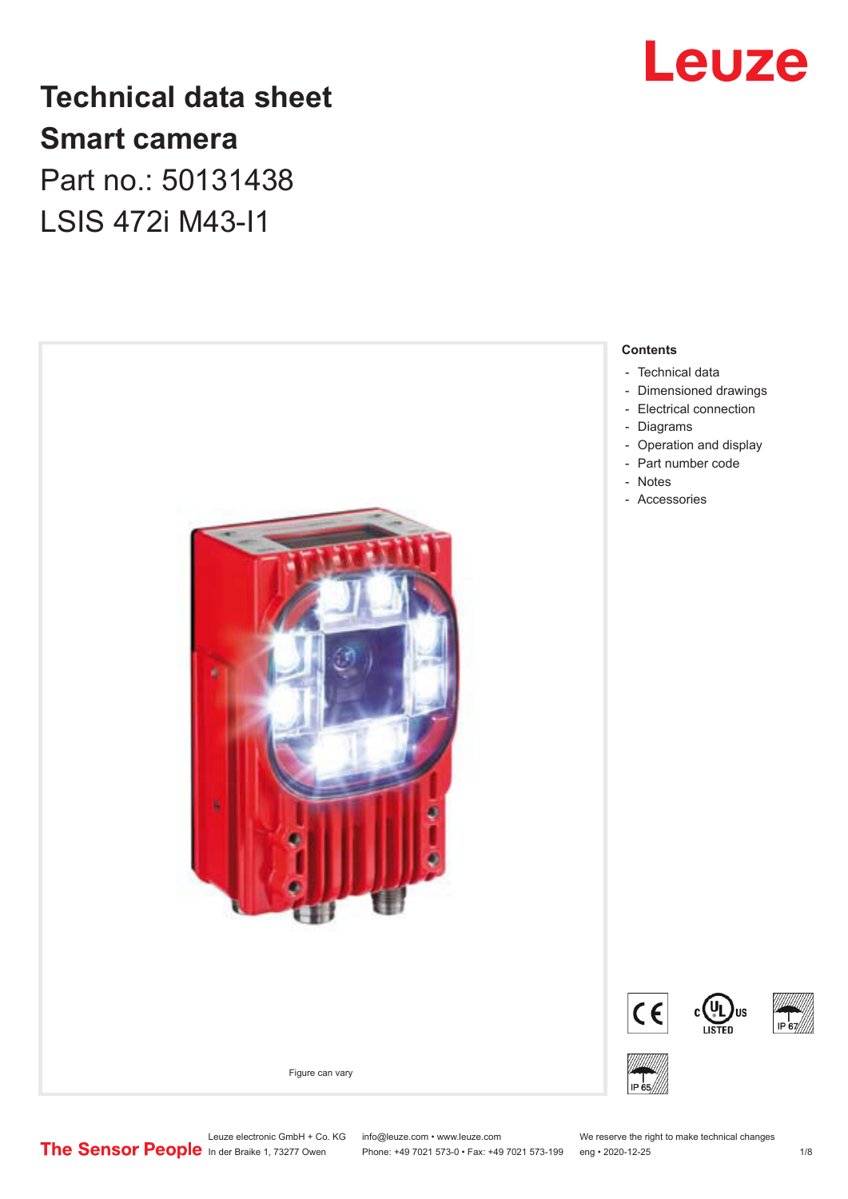

# **Technical data sheet Smart camera** Part no.: 50131438

LSIS 472i M43-I1



# Leuze electronic GmbH + Co. KG info@leuze.com • www.leuze.com We reserve the right to make technical changes<br>
The Sensor People in der Braike 1, 73277 Owen Phone: +49 7021 573-0 • Fax: +49 7021 573-199 eng • 2020-12-25

Phone: +49 7021 573-0 • Fax: +49 7021 573-199 eng • 2020-12-25 1 /8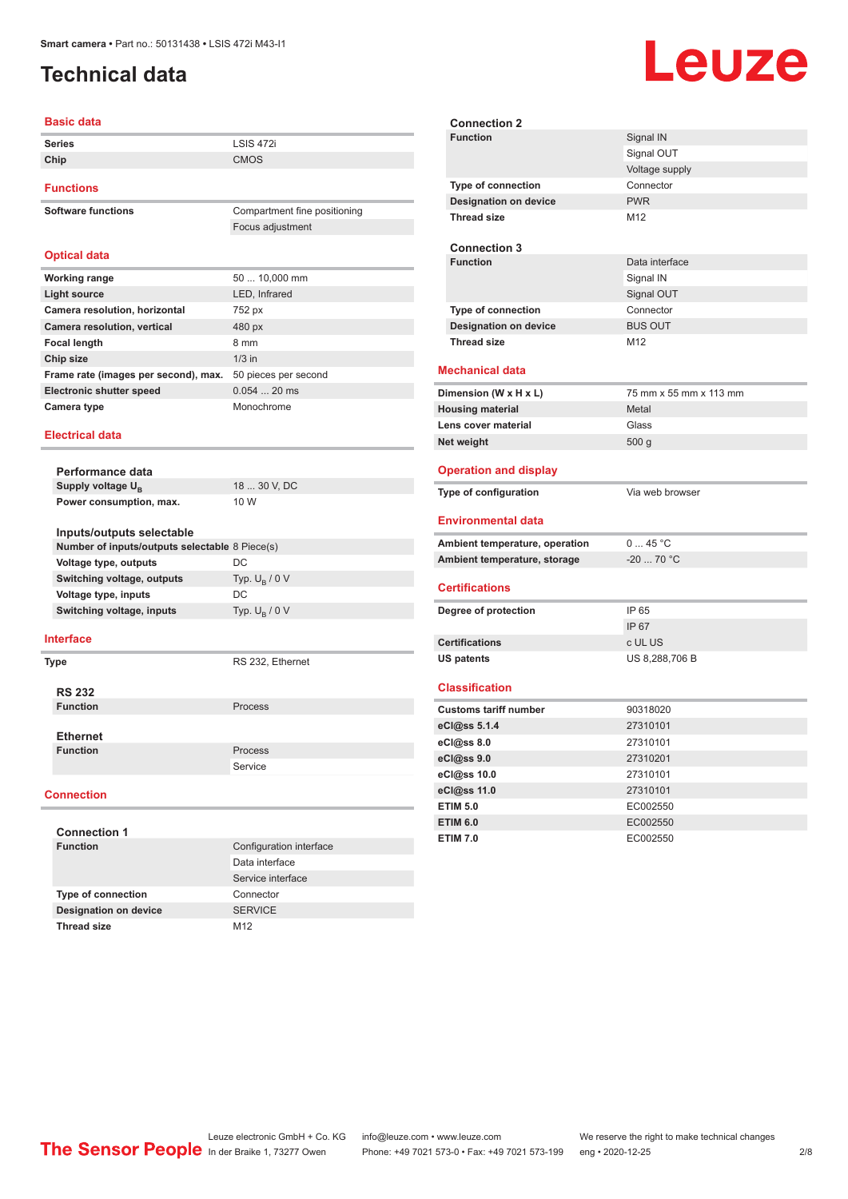# <span id="page-1-0"></span>**Technical data**

#### **Basic data**

| <b>Series</b> | <b>LSIS 472i</b> |
|---------------|------------------|
| Chip          | CMOS             |
|               |                  |

Focus adjustment

#### **Functions**

**Software functions** Compartment fine positioning

#### **Optical data Working range** 50 ... 10,000 mm **Light source** LED, Infrared **Camera resolution, horizontal** 752 px **Camera resolution, vertical** 480 px **Focal length** 8 mm

| . <i>. .</i> <b>.</b>                                     |               |
|-----------------------------------------------------------|---------------|
| Chip size                                                 | $1/3$ in      |
| Frame rate (images per second), max. 50 pieces per second |               |
| <b>Electronic shutter speed</b>                           | $0.054$ 20 ms |
| Camera type                                               | Monochrome    |
|                                                           |               |

#### **Electrical data**

|  | Performance data                               |                        |  |
|--|------------------------------------------------|------------------------|--|
|  | Supply voltage $U_{\rm B}$                     | 18  30 V, DC           |  |
|  | Power consumption, max.                        | 10 W                   |  |
|  |                                                |                        |  |
|  | Inputs/outputs selectable                      |                        |  |
|  | Number of inputs/outputs selectable 8 Piece(s) |                        |  |
|  | Voltage type, outputs                          | DC.                    |  |
|  | Switching voltage, outputs                     | Typ. $U_p / 0 V$       |  |
|  | Voltage type, inputs                           | DC                     |  |
|  | Switching voltage, inputs                      | Typ. $U_{\rm B}$ / 0 V |  |
|  | Interface                                      |                        |  |

| Type |                 | RS 232, Ethernet |
|------|-----------------|------------------|
|      | <b>RS 232</b>   |                  |
|      | <b>Function</b> | <b>Process</b>   |
|      | <b>Ethernet</b> |                  |
|      | <b>Function</b> | <b>Process</b>   |
|      |                 | Service          |
|      |                 |                  |

#### **Connection**

| <b>Connection 1</b>          |                         |  |  |
|------------------------------|-------------------------|--|--|
| <b>Function</b>              | Configuration interface |  |  |
|                              | Data interface          |  |  |
|                              | Service interface       |  |  |
| <b>Type of connection</b>    | Connector               |  |  |
| <b>Designation on device</b> | <b>SERVICE</b>          |  |  |
| <b>Thread size</b>           | M <sub>12</sub>         |  |  |

**Connection 2 Signal IN** Signal OUT Voltage supply **Type of connection** Connector **Designation on device** PWR **Thread size** M12 **Connection 3 Function** Data interface Signal IN Signal OUT **Type of connection** Connector **Designation on device** BUS OUT **Thread size** M12 **Mechanical data Dimension (W x H x L)** 75 mm x 55 mm x 113 mm **Housing material** Metal **Lens cover material Class** Glass **Net weight** 500 g **Operation and display Type of configuration** Via web browser **Environmental data Ambient temperature, operation** 0 ... 45 °C Ambient temperature, storage  $-20$  ... 70 °C **Certifications Degree of protection** IP 65 IP 67 **Certifications** c UL US **US patents** US 8,288,706 B **Classification Customs tariff number** 90318020 **eCl@ss 5.1.4** 27310101 **eCl@ss 8.0** 27310101 **eCl@ss 9.0** 27310201 **eCl@ss 10.0** 27310101 **eCl@ss 11.0** 27310101 **ETIM 5.0** EC002550 **ETIM 6.0** EC002550 **ETIM 7.0** EC002550

# Leuze electronic GmbH + Co. KG info@leuze.com • www.leuze.com We reserve the right to make technical changes<br>
The Sensor People in der Braike 1, 73277 Owen Phone: +49 7021 573-0 • Fax: +49 7021 573-199 eng • 2020-12-25

Phone: +49 7021 573-0 • Fax: +49 7021 573-199 eng • 2020-12-25 2/8

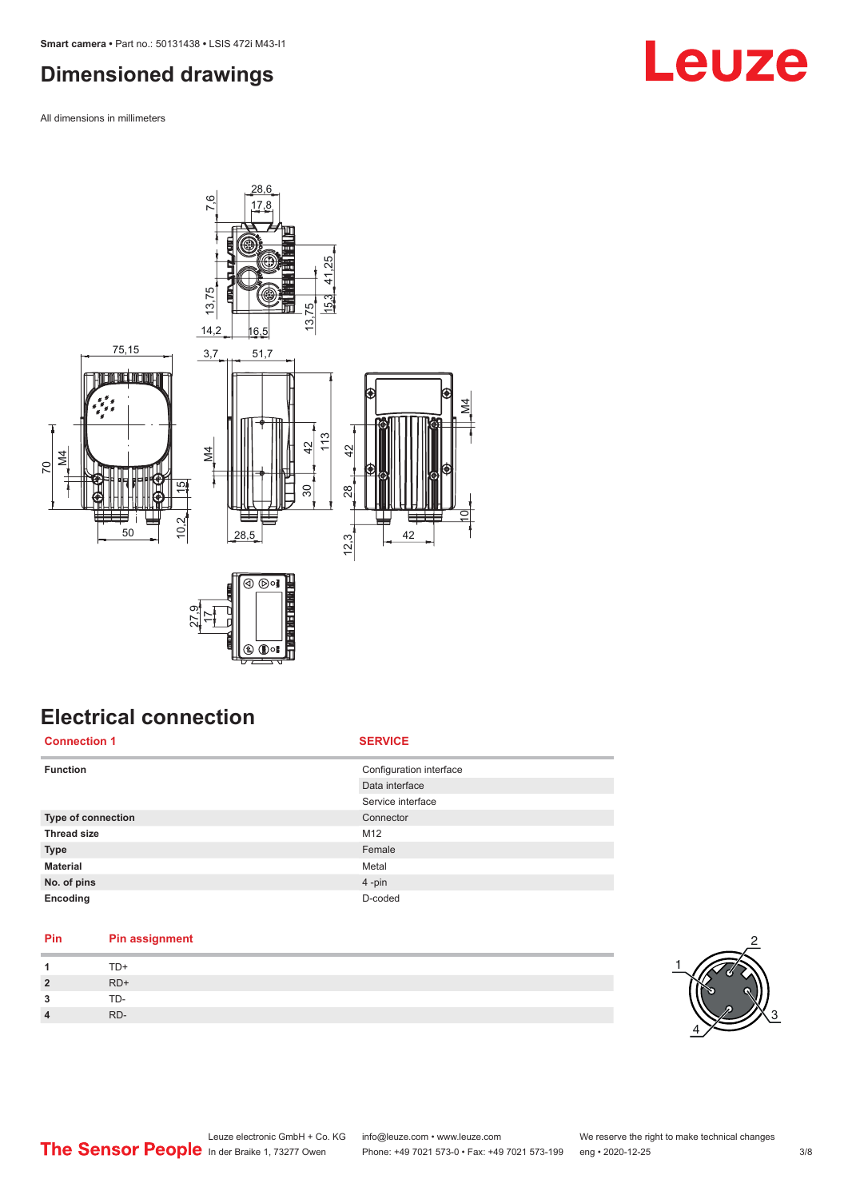## <span id="page-2-0"></span>**Dimensioned drawings**

All dimensions in millimeters



# **Electrical connection**

**Connection 1 SERVICE**

| Configuration interface<br><b>Function</b> |  |
|--------------------------------------------|--|
| Data interface                             |  |
| Service interface                          |  |
| Type of connection<br>Connector            |  |
| <b>Thread size</b><br>M <sub>12</sub>      |  |
| Female<br><b>Type</b>                      |  |
| <b>Material</b><br>Metal                   |  |
| No. of pins<br>4-pin                       |  |
| D-coded<br>Encoding                        |  |

### **Pin Pin assignment**

|             | $TD+$ |
|-------------|-------|
| $2^{\circ}$ | $RD+$ |
| 3           | TD-   |
| 4           | RD-   |

![](_page_2_Picture_8.jpeg)

# **Leuze**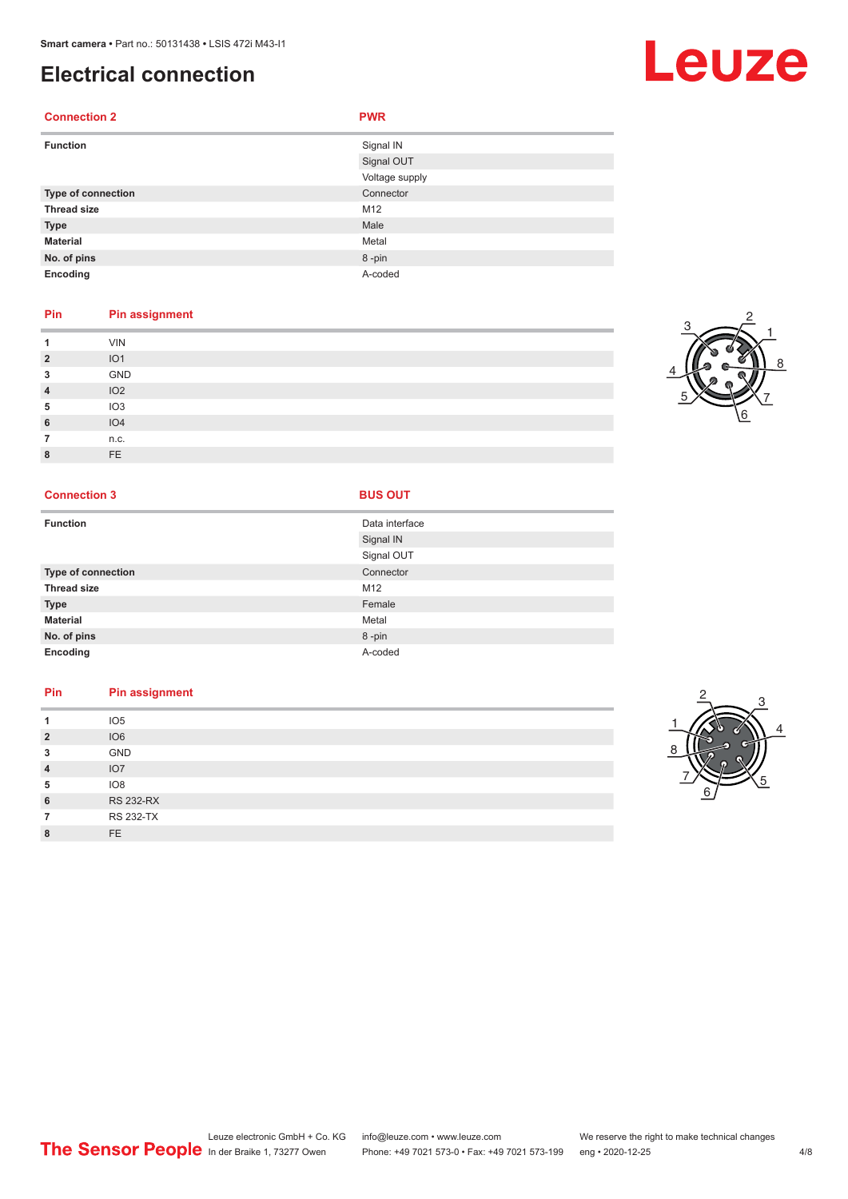## **Electrical connection**

#### **Connection 2 PWR**

| <b>Function</b>    | Signal IN      |
|--------------------|----------------|
|                    | Signal OUT     |
|                    | Voltage supply |
| Type of connection | Connector      |
| <b>Thread size</b> | M12            |
| <b>Type</b>        | Male           |
| <b>Material</b>    | Metal          |
| No. of pins        | 8-pin          |
| Encoding           | A-coded        |

#### **Pin Pin assignment**

|                | <b>VIN</b>      |
|----------------|-----------------|
| $\overline{2}$ | IO <sub>1</sub> |
| 3              | GND             |
| 4              | IO <sub>2</sub> |
| 5              | IO <sub>3</sub> |
| 6              | IO4             |
|                | n.c.            |
| $\Omega$       | FE              |

#### **Connection 3 BUS OUT**

| <b>Function</b>    | Data interface |
|--------------------|----------------|
|                    | Signal IN      |
|                    | Signal OUT     |
| Type of connection | Connector      |
| <b>Thread size</b> | M12            |
| <b>Type</b>        | Female         |
| <b>Material</b>    | Metal          |
| No. of pins        | 8-pin          |
| Encoding           | A-coded        |

### **Pin Pin assignment 1** IO5 **2** IO6

| w              | GND              |
|----------------|------------------|
| $\overline{4}$ | IO7              |
| 5              | IO8              |
| 6              | <b>RS 232-RX</b> |
|                | <b>RS 232-TX</b> |
| 8              | FF               |

![](_page_3_Picture_10.jpeg)

![](_page_3_Picture_11.jpeg)

6 7

5

# Leuze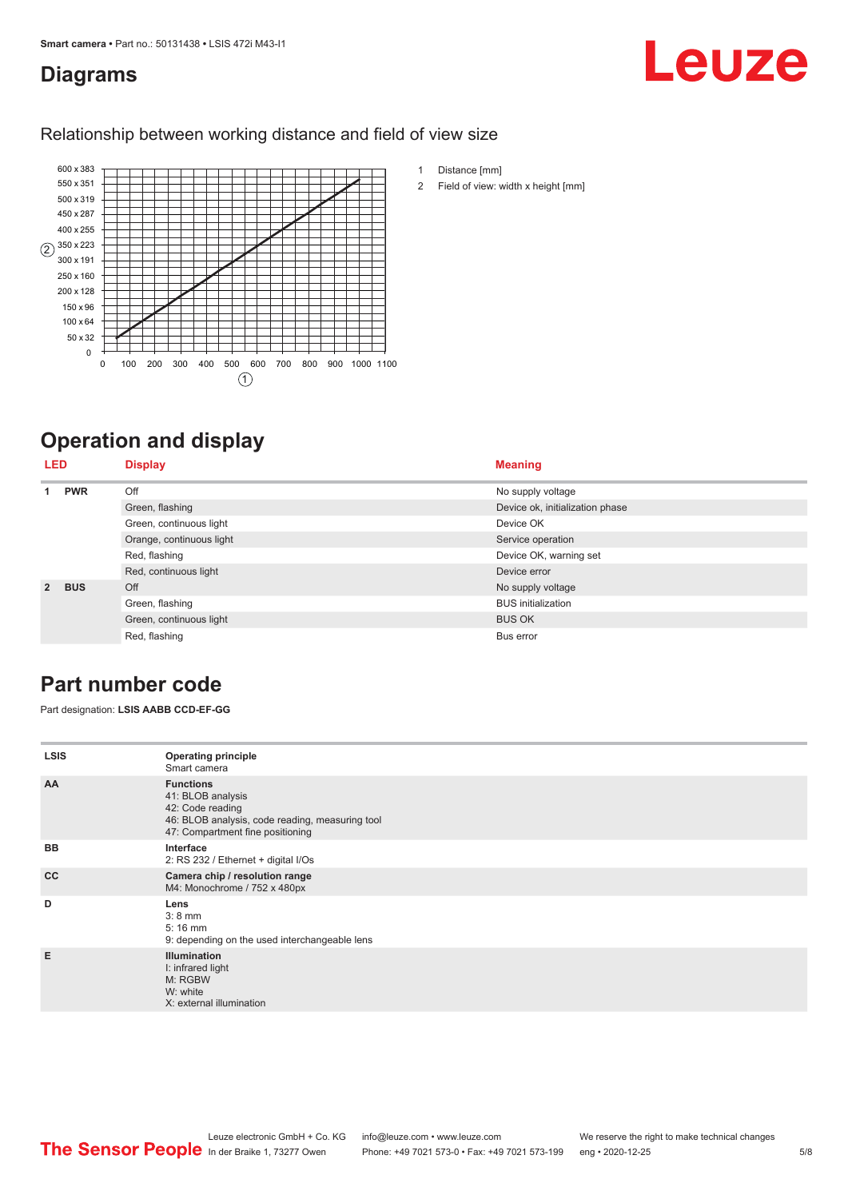### <span id="page-4-0"></span>**Diagrams**

# Leuze

#### Relationship between working distance and field of view size

![](_page_4_Figure_4.jpeg)

# **Operation and display**

| <b>LED</b>     |            | <b>Display</b>           | <b>Meaning</b>                  |
|----------------|------------|--------------------------|---------------------------------|
|                | <b>PWR</b> | Off                      | No supply voltage               |
|                |            | Green, flashing          | Device ok, initialization phase |
|                |            | Green, continuous light  | Device OK                       |
|                |            | Orange, continuous light | Service operation               |
|                |            | Red, flashing            | Device OK, warning set          |
|                |            | Red, continuous light    | Device error                    |
| $\overline{2}$ | <b>BUS</b> | Off                      | No supply voltage               |
|                |            | Green, flashing          | <b>BUS</b> initialization       |
|                |            | Green, continuous light  | <b>BUS OK</b>                   |
|                |            | Red, flashing            | Bus error                       |

## **Part number code**

Part designation: **LSIS AABB CCD-EF-GG**

| <b>LSIS</b> | <b>Operating principle</b><br>Smart camera                                                                                                       |
|-------------|--------------------------------------------------------------------------------------------------------------------------------------------------|
| AA          | <b>Functions</b><br>41: BLOB analysis<br>42: Code reading<br>46: BLOB analysis, code reading, measuring tool<br>47: Compartment fine positioning |
| <b>BB</b>   | Interface<br>2: RS 232 / Ethernet + digital I/Os                                                                                                 |
| cc          | Camera chip / resolution range<br>M4: Monochrome / 752 x 480px                                                                                   |
| D           | Lens<br>$3:8$ mm<br>$5:16$ mm<br>9: depending on the used interchangeable lens                                                                   |
| E           | <b>Illumination</b><br>I: infrared light<br>M: RGBW<br>W: white<br>X: external illumination                                                      |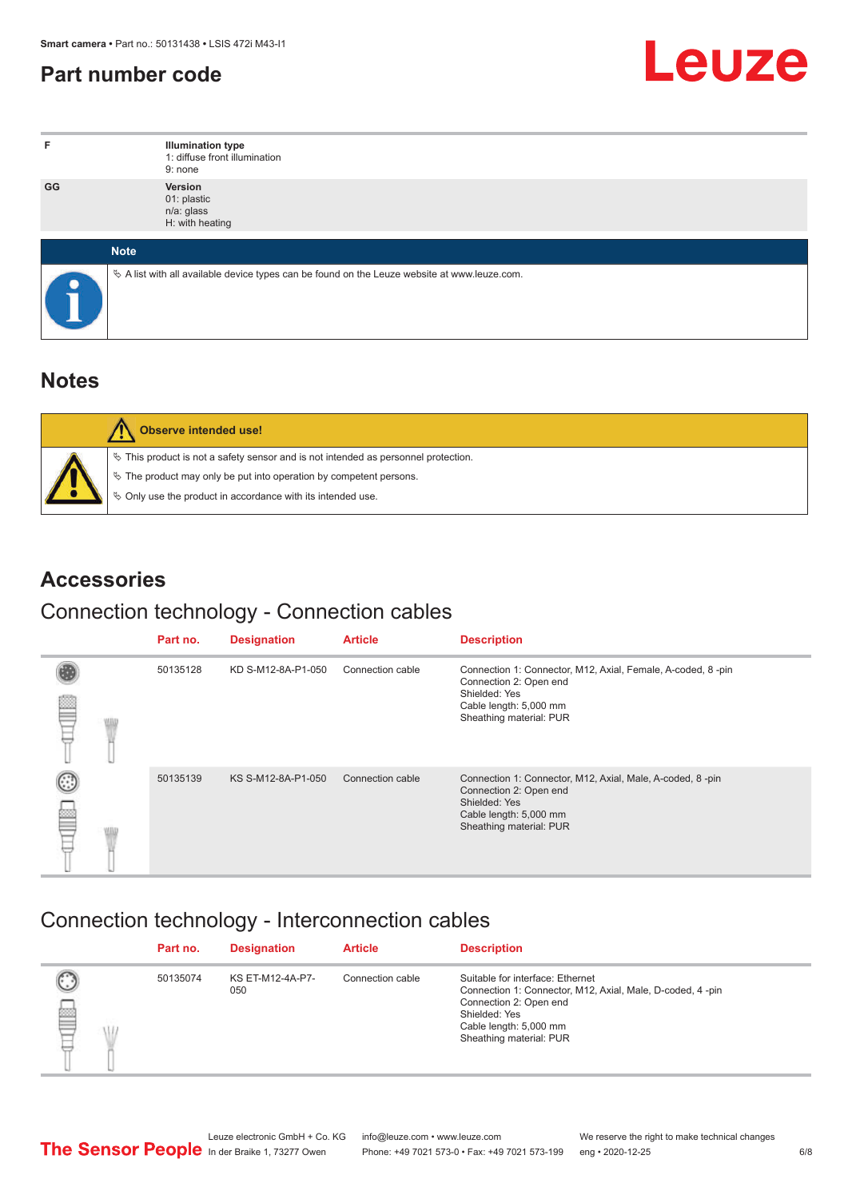## <span id="page-5-0"></span>**Part number code**

![](_page_5_Picture_2.jpeg)

| F         | <b>Illumination type</b><br>1: diffuse front illumination<br>9: none                            |
|-----------|-------------------------------------------------------------------------------------------------|
| GG        | Version<br>01: plastic<br>n/a: glass<br>H: with heating                                         |
|           | <b>Note</b>                                                                                     |
| $\bullet$ | $\&$ A list with all available device types can be found on the Leuze website at www.leuze.com. |

## **Notes**

| Observe intended use!                                                                 |
|---------------------------------------------------------------------------------------|
| $\%$ This product is not a safety sensor and is not intended as personnel protection. |
| $\%$ The product may only be put into operation by competent persons.                 |
| § Only use the product in accordance with its intended use.                           |

## **Accessories**

## Connection technology - Connection cables

|   | Part no. | <b>Designation</b> | <b>Article</b>   | <b>Description</b>                                                                                                                                          |
|---|----------|--------------------|------------------|-------------------------------------------------------------------------------------------------------------------------------------------------------------|
| e | 50135128 | KD S-M12-8A-P1-050 | Connection cable | Connection 1: Connector, M12, Axial, Female, A-coded, 8-pin<br>Connection 2: Open end<br>Shielded: Yes<br>Cable length: 5,000 mm<br>Sheathing material: PUR |
| 5 | 50135139 | KS S-M12-8A-P1-050 | Connection cable | Connection 1: Connector, M12, Axial, Male, A-coded, 8-pin<br>Connection 2: Open end<br>Shielded: Yes<br>Cable length: 5,000 mm<br>Sheathing material: PUR   |

# Connection technology - Interconnection cables

|   | Part no. | <b>Designation</b>      | <b>Article</b>   | <b>Description</b>                                                                                                                                                                            |
|---|----------|-------------------------|------------------|-----------------------------------------------------------------------------------------------------------------------------------------------------------------------------------------------|
| E | 50135074 | KS ET-M12-4A-P7-<br>050 | Connection cable | Suitable for interface: Ethernet<br>Connection 1: Connector, M12, Axial, Male, D-coded, 4-pin<br>Connection 2: Open end<br>Shielded: Yes<br>Cable length: 5,000 mm<br>Sheathing material: PUR |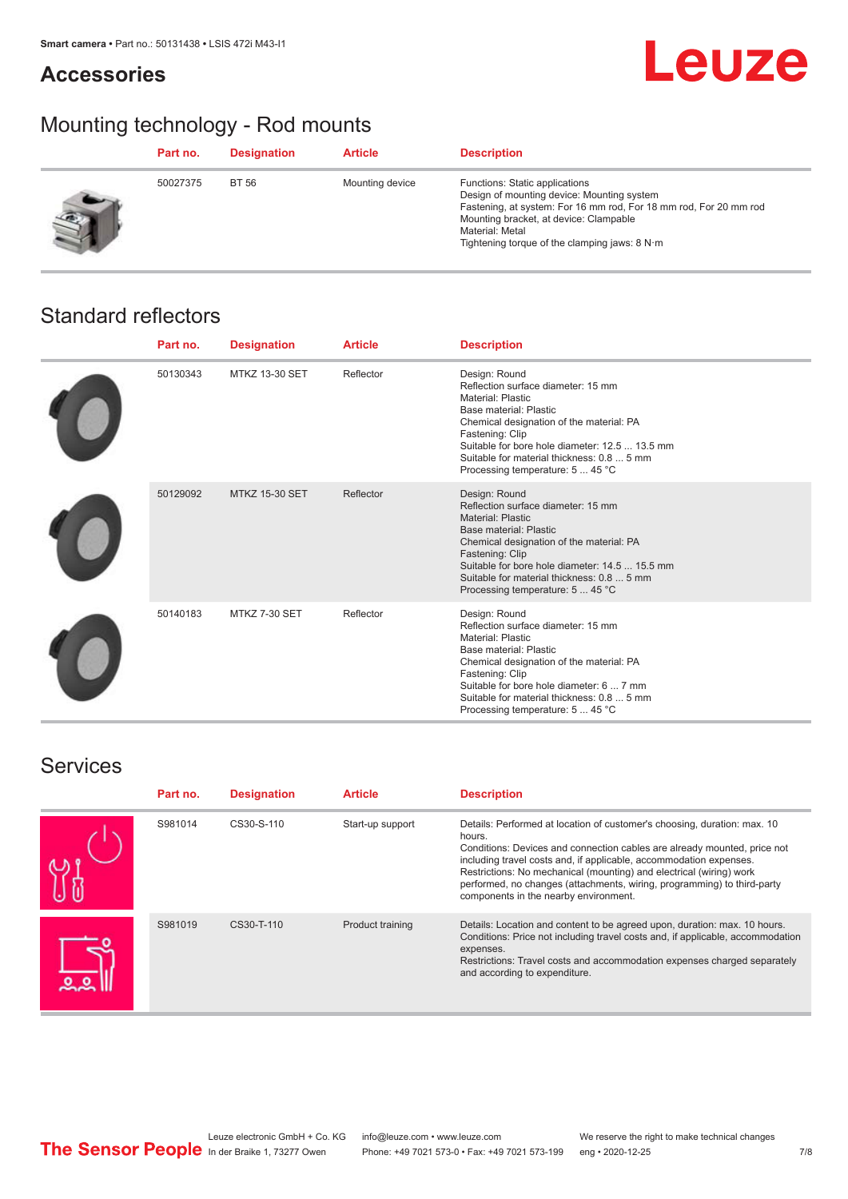### **Accessories**

# **Leuze**

# Mounting technology - Rod mounts

| Part no. | <b>Designation</b> | <b>Article</b>  | <b>Description</b>                                                                                                                                                                                                                                                |
|----------|--------------------|-----------------|-------------------------------------------------------------------------------------------------------------------------------------------------------------------------------------------------------------------------------------------------------------------|
| 50027375 | BT 56              | Mounting device | Functions: Static applications<br>Design of mounting device: Mounting system<br>Fastening, at system: For 16 mm rod, For 18 mm rod, For 20 mm rod<br>Mounting bracket, at device: Clampable<br>Material: Metal<br>Tightening torque of the clamping jaws: $8 N·m$ |

## Standard reflectors

| Part no. | <b>Designation</b>    | <b>Article</b> | <b>Description</b>                                                                                                                                                                                                                                                                                           |
|----------|-----------------------|----------------|--------------------------------------------------------------------------------------------------------------------------------------------------------------------------------------------------------------------------------------------------------------------------------------------------------------|
| 50130343 | <b>MTKZ 13-30 SET</b> | Reflector      | Design: Round<br>Reflection surface diameter: 15 mm<br>Material: Plastic<br>Base material: Plastic<br>Chemical designation of the material: PA<br>Fastening: Clip<br>Suitable for bore hole diameter: 12.5  13.5 mm<br>Suitable for material thickness: 0.8  5 mm<br>Processing temperature: 5  45 °C        |
| 50129092 | <b>MTKZ 15-30 SET</b> | Reflector      | Design: Round<br>Reflection surface diameter: 15 mm<br><b>Material: Plastic</b><br>Base material: Plastic<br>Chemical designation of the material: PA<br>Fastening: Clip<br>Suitable for bore hole diameter: 14.5  15.5 mm<br>Suitable for material thickness: 0.8  5 mm<br>Processing temperature: 5  45 °C |
| 50140183 | MTKZ 7-30 SET         | Reflector      | Design: Round<br>Reflection surface diameter: 15 mm<br><b>Material: Plastic</b><br>Base material: Plastic<br>Chemical designation of the material: PA<br>Fastening: Clip<br>Suitable for bore hole diameter: 6  7 mm<br>Suitable for material thickness: 0.8  5 mm<br>Processing temperature: 5  45 °C       |

### **Services**

| Part no. | <b>Designation</b> | <b>Article</b>   | <b>Description</b>                                                                                                                                                                                                                                                                                                                                                                                                              |
|----------|--------------------|------------------|---------------------------------------------------------------------------------------------------------------------------------------------------------------------------------------------------------------------------------------------------------------------------------------------------------------------------------------------------------------------------------------------------------------------------------|
| S981014  | CS30-S-110         | Start-up support | Details: Performed at location of customer's choosing, duration: max. 10<br>hours.<br>Conditions: Devices and connection cables are already mounted, price not<br>including travel costs and, if applicable, accommodation expenses.<br>Restrictions: No mechanical (mounting) and electrical (wiring) work<br>performed, no changes (attachments, wiring, programming) to third-party<br>components in the nearby environment. |
| S981019  | CS30-T-110         | Product training | Details: Location and content to be agreed upon, duration: max. 10 hours.<br>Conditions: Price not including travel costs and, if applicable, accommodation<br>expenses.<br>Restrictions: Travel costs and accommodation expenses charged separately<br>and according to expenditure.                                                                                                                                           |